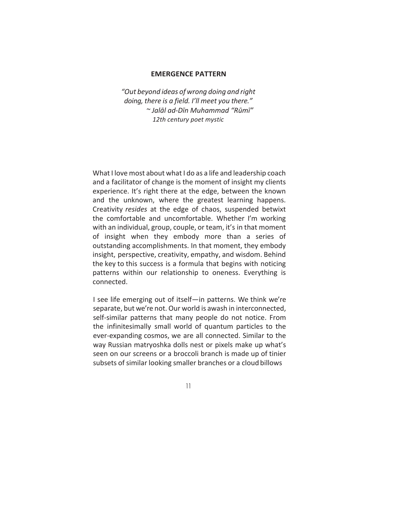## **EMERGENCE PATTERN**

*"Out beyond ideas of wrong doing and right doing, there is a field. I'll meet you there." ~ Jalāl ad-Dīn Muhammad "Rūmī" 12th century poet mystic*

What I love most about what I do as a life and leadership coach and a facilitator of change is the moment of insight my clients experience. It's right there at the edge, between the known and the unknown, where the greatest learning happens. Creativity *resides* at the edge of chaos, suspended betwixt the comfortable and uncomfortable. Whether I'm working with an individual, group, couple, or team, it's in that moment of insight when they embody more than a series of outstanding accomplishments. In that moment, they embody insight, perspective, creativity, empathy, and wisdom. Behind the key to this success is a formula that begins with noticing patterns within our relationship to oneness. Everything is connected.

I see life emerging out of itself—in patterns. We think we're separate, but we're not. Our world is awash in interconnected, self-similar patterns that many people do not notice. From the infinitesimally small world of quantum particles to the ever-expanding cosmos, we are all connected. Similar to the way Russian matryoshka dolls nest or pixels make up what's seen on our screens or a broccoli branch is made up of tinier subsets of similar looking smaller branches or a cloud billows

11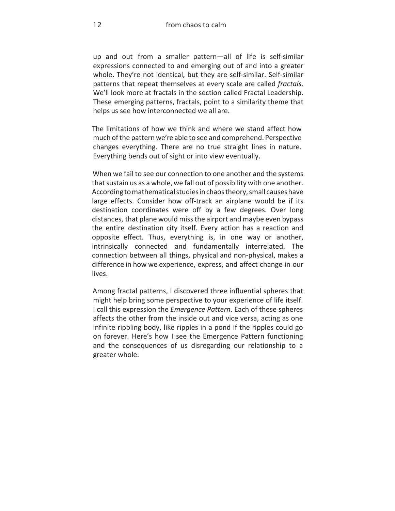up and out from a smaller pattern-all of life is self-similar expressions connected to and emerging out of and into a greater whole. They're not identical, but they are self-similar. Self-similar patterns that repeat themselves at every scale are called *fractals*. We'll look more at fractals in the section called Fractal Leadership. These emerging patterns, fractals, point to a similarity theme that helps us see how interconnected we all are.

The limitations of how we think and where we stand affect how much of the pattern we're able to see and comprehend. Perspective changes everything. There are no true straight lines in nature. Everything bends out of sight or into view eventually.

When we fail to see our connection to one another and the systems that sustain us as a whole, we fall out of possibility with one another. According to mathematical studies in chaos theory, small causes have large effects. Consider how off-track an airplane would be if its destination coordinates were off by a few degrees. Over long distances, that plane would miss the airport and maybe even bypass the entire destination city itself. Every action has a reaction and opposite effect. Thus, everything is, in one way or another, intrinsically connected and fundamentally interrelated. The connection between all things, physical and non-physical, makes a difference in how we experience, express, and affect change in our lives.

Among fractal patterns, I discovered three influential spheres that might help bring some perspective to your experience of life itself. I call this expression the *Emergence Pattern*. Each of these spheres affects the other from the inside out and vice versa, acting as one infinite rippling body, like ripples in a pond if the ripples could go on forever. Here's how I see the Emergence Pattern functioning and the consequences of us disregarding our relationship to a greater whole.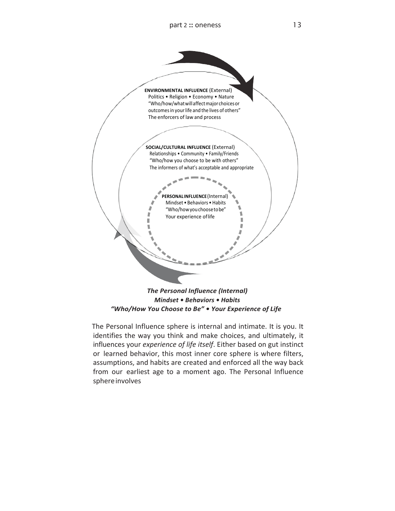

The Personal Influence sphere is internal and intimate. It is you. It identifies the way you think and make choices, and ultimately, it influences your *experience of life itself*. Either based on gut instinct or learned behavior, this most inner core sphere is where filters, assumptions, and habits are created and enforced all the way back from our earliest age to a moment ago. The Personal Influence sphere involves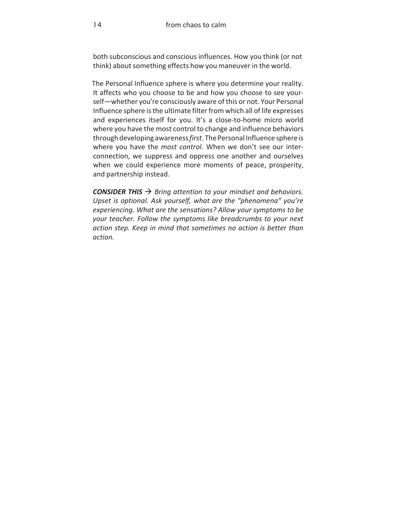both subconscious and conscious influences. How you think (or not think) about something effects how you maneuver in the world.

The Personal Influence sphere is where you determine your reality. It affects who you choose to be and how you choose to see yourself—whether you're consciously aware of this or not. Your Personal Influence sphere is the ultimate filter from which all of life expresses and experiences itself for you. It's a close-to-home micro world where you have the most control to change and influence behaviors through developing awareness*first*. The Personal Influence sphere is where you have the *most control*. When we don't see our interconnection, we suppress and oppress one another and ourselves when we could experience more moments of peace, prosperity, and partnership instead.

*CONSIDER THIS*  $\rightarrow$  *Bring attention to your mindset and behaviors.* Upset is optional. Ask yourself, what are the "phenomena" you're experiencing. What are the sensations? Allow your symptoms to be *your teacher.* Follow the symptoms like breadcrumbs to your next action step. Keep in mind that sometimes no action is better than *action.*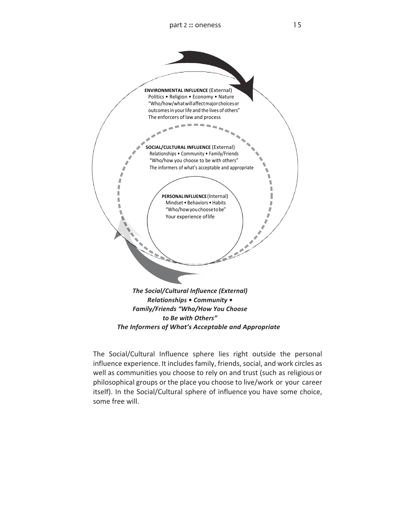

The Social/Cultural Influence sphere lies right outside the personal influence experience. It includes family, friends, social, and work circles as well as communities you choose to rely on and trust (such as religious or philosophical groups or the place you choose to live/work or your career itself). In the Social/Cultural sphere of influence you have some choice,

some free will.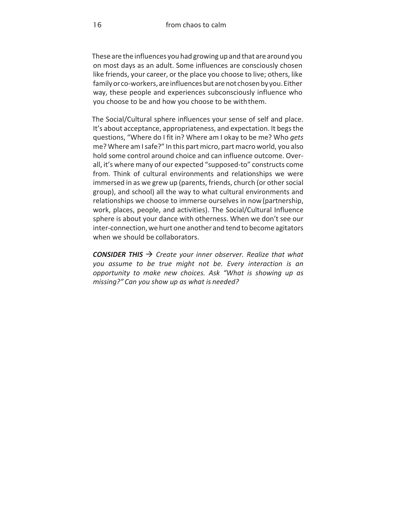These are the influences you had growing up and that are around you on most days as an adult. Some influences are consciously chosen like friends, your career, or the place you choose to live; others, like family or co-workers, are influences but are not chosen by you. Either way, these people and experiences subconsciously influence who you choose to be and how you choose to be with them.

The Social/Cultural sphere influences your sense of self and place. It's about acceptance, appropriateness, and expectation. It begs the questions, "Where do I fit in? Where am I okay to be me? Who *gets*  me? Where amIsafe?" In this part micro, partmacro world, you also hold some control around choice and can influence outcome. Overall, it's where many of our expected "supposed-to" constructs come from. Think of cultural environments and relationships we were immersed in as we grew up (parents, friends, church (or other social group), and school) all the way to what cultural environments and relationships we choose to immerse ourselves in now (partnership, work, places, people, and activities). The Social/Cultural Influence sphere is about your dance with otherness. When we don't see our inter-connection, we hurt one another and tend to become agitators when we should be collaborators.

*CONSIDER THIS*  $\rightarrow$  *Create your inner observer. Realize that what you assume to be true might not be. Every interaction is an opportunity to make new choices. Ask "What is showing up as missing?" Can you show up as what is needed?*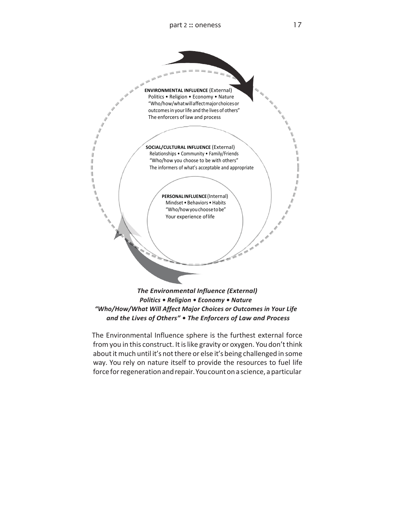

l Ш I) 1 1

*Politics • Religion • Economy • Nature*  "Who/How/What Will Affect Major Choices or Outcomes in Your Life and the Lives of Others" . The Enforcers of Law and Process

The Environmental Influence sphere is the furthest external force from you in this construct. It is like gravity or oxygen. You don't think about it much until it's not there or else it's being challenged in some way. You rely on nature itself to provide the resources to fuel life force for regeneration and repair. You count on a science, a particular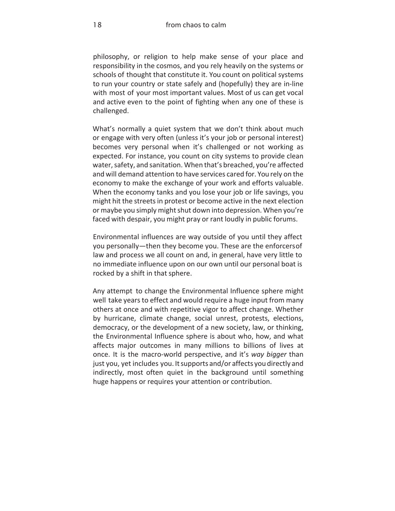philosophy, or religion to help make sense of your place and responsibility in the cosmos, and you rely heavily on the systems or schools of thought that constitute it. You count on political systems to run your country or state safely and (hopefully) they are in-line with most of your most important values. Most of us can get vocal and active even to the point of fighting when any one of these is challenged.

What's normally a quiet system that we don't think about much or engage with very often (unless it's your job or personal interest) becomes very personal when it's challenged or not working as expected. For instance, you count on city systems to provide clean water, safety, and sanitation. When that's breached, you're affected and will demand attention to have services cared for. You rely on the economy to make the exchange of your work and efforts valuable. When the economy tanks and you lose your job or life savings, you might hit the streets in protest or become active in the next election or maybe you simply might shut down into depression. When you're faced with despair, you might pray or rant loudly in public forums.

Environmental influences are way outside of you until they affect you personally—then they become you. These are the enforcers of law and process we all count on and, in general, have very little to no immediate influence upon on our own until our personal boat is rocked by a shift in that sphere.

Any attempt to change the Environmental Influence sphere might well take years to effect and would require a huge input from many others at once and with repetitive vigor to affect change. Whether by hurricane, climate change, social unrest, protests, elections, democracy, or the development of a new society, law, or thinking, the Environmental Influence sphere is about who, how, and what affects major outcomes in many millions to billions of lives at once. It is the macro-world perspective, and it's way bigger than just you, yet includes you. It supports and/or affects you directly and indirectly, most often quiet in the background until something huge happens or requires your attention or contribution.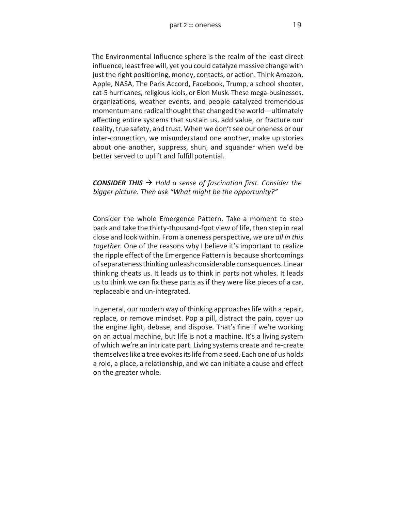The Environmental Influence sphere is the realm of the least direct influence, least free will, yet you could catalyze massive change with just the right positioning, money, contacts, or action. Think Amazon, Apple, NASA, The Paris Accord, Facebook, Trump, a school shooter, cat-5 hurricanes, religious idols, or Elon Musk. These mega-businesses, organizations, weather events, and people catalyzed tremendous momentum and radical thought that changed the world—ultimately affecting entire systems that sustain us, add value, or fracture our reality, true safety, and trust. When we don't see our oneness or our inter-connection, we misunderstand one another, make up stories about one another, suppress, shun, and squander when we'd be better served to uplift and fulfill potential.

**CONSIDER THIS**  $\rightarrow$  Hold a sense of fascination first. Consider the bigger picture. Then ask "What might be the opportunity?"

Consider the whole Emergence Pattern. Take a moment to step back and take the thirty-thousand-foot view of life, then step in real close and look within. From a oneness perspective, *we are all in this*  together. One of the reasons why I believe it's important to realize the ripple effect of the Emergence Pattern is because shortcomings ofseparatenessthinking unleashconsiderable consequences. Linear thinking cheats us. It leads us to think in parts not wholes. It leads us to think we can fix these parts as if they were like pieces of a car, replaceable and un-integrated.

In general, our modern way of thinking approaches life with a repair, replace, or remove mindset. Pop a pill, distract the pain, cover up the engine light, debase, and dispose. That's fine if we're working on an actual machine, but life is not a machine. It's a living system of which we're an intricate part. Living systems create and re-create themselveslike a tree evokesitslife froma seed. Each one of us holds a role, a place, a relationship, and we can initiate a cause and effect on the greater whole.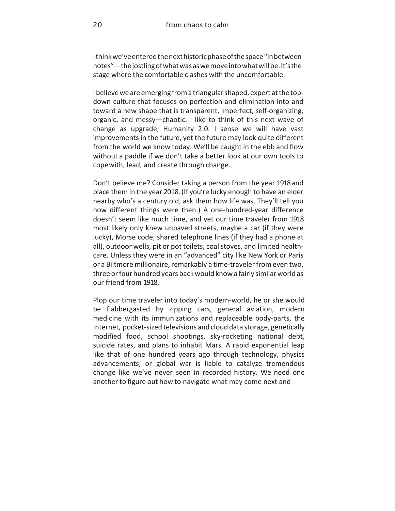Ithinkwe'veenteredthenexthistoricphaseofthespace"inbetween notes"—thejostlingofwhatwasaswemoveintowhatwillbe.It'sthe stage where the comfortable clashes with the uncomfortable.

I believe we are emerging from a triangular shaped, expert at the topdown culture that focuses on perfection and elimination into and toward a new shape that is transparent, imperfect, self-organizing, organic, and messy-chaotic. I like to think of this next wave of change as upgrade, Humanity 2.0. I sense we will have vast improvements in the future, yet the future may look quite different from the world we know today. We'll be caught in the ebb and flow without a paddle if we don't take a better look at our own tools to cope with, lead, and create through change.

Don't believe me? Consider taking a person from the year 1918 and place them in the year 2018. (If you're lucky enough to have an elder nearby who's a century old, ask them how life was. They'll tell you how different things were then.) A one-hundred-year difference doesn't seem like much time, and yet our time traveler from 1918 most likely only knew unpaved streets, maybe a car (if they were lucky), Morse code, shared telephone lines (if they had a phone at all), outdoor wells, pit or pot toilets, coal stoves, and limited healthcare. Unless they were in an "advanced" city like New York or Paris or a Biltmore millionaire, remarkably a time-traveler from even two, three or four hundred years back would know a fairly similar world as our friend from 1918.

Plop our time traveler into today's modern-world, he or she would be flabbergasted by zipping cars, general aviation, modern medicine with its immunizations and replaceable body-parts, the Internet, pocket-sized televisions and cloud data storage, genetically modified food, school shootings, sky-rocketing national debt, suicide rates, and plans to inhabit Mars. A rapid exponential leap like that of one hundred years ago through technology, physics advancements, or global war is liable to catalyze tremendous change like we've never seen in recorded history. We need one another to figure out how to navigate what may come next and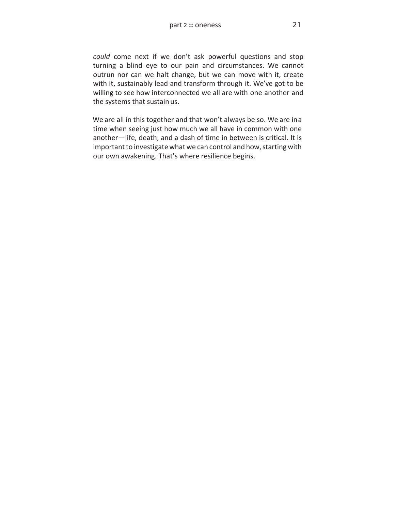could come next if we don't ask powerful questions and stop turning a blind eye to our pain and circumstances. We cannot outrun nor can we halt change, but we can move with it, create with it, sustainably lead and transform through it. We've got to be willing to see how interconnected we all are with one another and the systems that sustain us.

We are all in this together and that won't always be so. We are ina time when seeing just how much we all have in common with one another-life, death, and a dash of time in between is critical. It is important to investigate what we can control and how, starting with our own awakening. That's where resilience begins.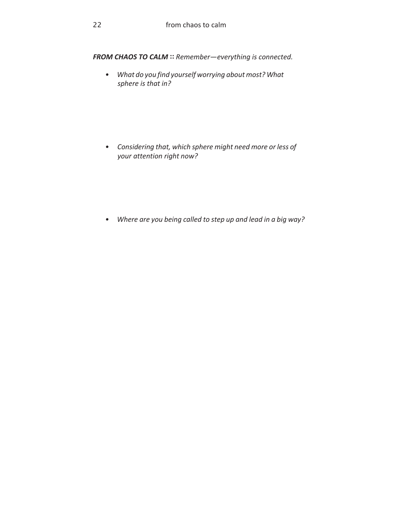FROM CHAOS TO CALM :: Remember-everything is connected.

*• What do you find yourself worrying about most? What*  sphere is that in?

*• Considering that, which sphere might need more or less of your attention right now?*

*• Where are you being called to step up and lead in a big way?*